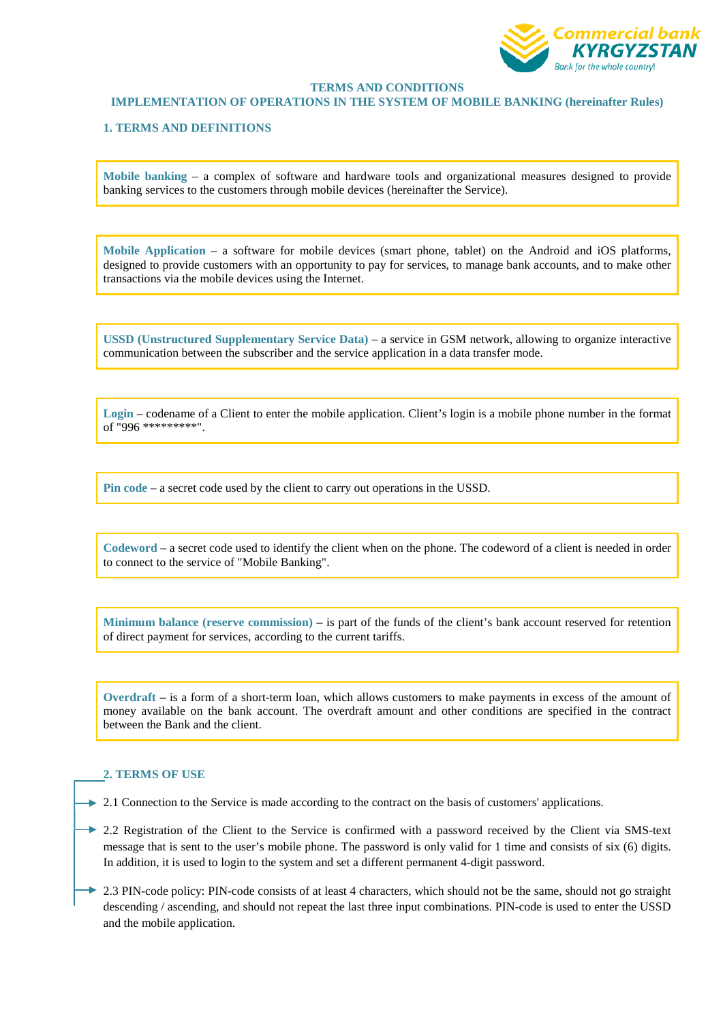

# **TERMS AND CONDITIONS**

### **IMPLEMENTATION OF OPERATIONS IN THE SYSTEM OF MOBILE BANKING (hereinafter Rules)**

# **1. TERMS AND DEFINITIONS**

**Mobile banking** – a complex of software and hardware tools and organizational measures designed to provide banking services to the customers through mobile devices (hereinafter the Service).

**Mobile Application** – a software for mobile devices (smart phone, tablet) on the Android and iOS platforms, designed to provide customers with an opportunity to pay for services, to manage bank accounts, and to make other transactions via the mobile devices using the Internet.

**USSD (Unstructured Supplementary Service Data)** – a service in GSM network, allowing to organize interactive communication between the subscriber and the service application in a data transfer mode.

**Login** – codename of a Client to enter the mobile application. Client's login is a mobile phone number in the format of "996 \*\*\*\*\*\*\*\*\*".

**Pin code** – a secret code used by the client to carry out operations in the USSD.

**Codeword** – a secret code used to identify the client when on the phone. The codeword of a client is needed in order to connect to the service of "Mobile Banking".

**Minimum balance (reserve commission) –** is part of the funds of the client's bank account reserved for retention of direct payment for services, according to the current tariffs.

**Overdraft –** is a form of a short-term loan, which allows customers to make payments in excess of the amount of money available on the bank account. The overdraft amount and other conditions are specified in the contract between the Bank and the client.

## **2. TERMS OF USE**

 $\rightarrow$  2.1 Connection to the Service is made according to the contract on the basis of customers' applications.

- $\rightarrow$  2.2 Registration of the Client to the Service is confirmed with a password received by the Client via SMS-text message that is sent to the user's mobile phone. The password is only valid for 1 time and consists of six (6) digits. In addition, it is used to login to the system and set a different permanent 4-digit password.
- ► 2.3 PIN-code policy: PIN-code consists of at least 4 characters, which should not be the same, should not go straight descending / ascending, and should not repeat the last three input combinations. PIN-code is used to enter the USSD and the mobile application.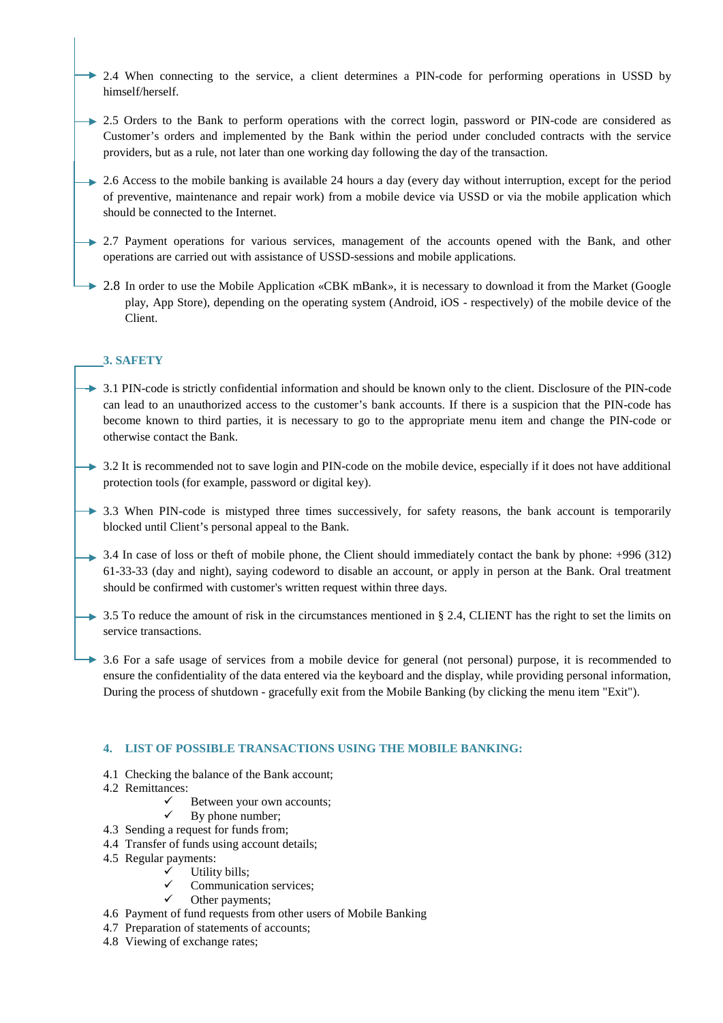- → 2.4 When connecting to the service, a client determines a PIN-code for performing operations in USSD by himself/herself.
- $\rightarrow$  2.5 Orders to the Bank to perform operations with the correct login, password or PIN-code are considered as Customer's orders and implemented by the Bank within the period under concluded contracts with the service providers, but as a rule, not later than one working day following the day of the transaction.
- $\rightarrow$  2.6 Access to the mobile banking is available 24 hours a day (every day without interruption, except for the period of preventive, maintenance and repair work) from a mobile device via USSD or via the mobile application which should be connected to the Internet.
- $\rightarrow$  2.7 Payment operations for various services, management of the accounts opened with the Bank, and other operations are carried out with assistance of USSD-sessions and mobile applications.
- **→** 2.8 In order to use the Mobile Application «CBK mBank», it is necessary to download it from the Market (Google play, App Store), depending on the operating system (Android, iOS - respectively) of the mobile device of the Client.

# **3. SAFETY**

- $\rightarrow$  3.1 PIN-code is strictly confidential information and should be known only to the client. Disclosure of the PIN-code can lead to an unauthorized access to the customer's bank accounts. If there is a suspicion that the PIN-code has become known to third parties, it is necessary to go to the appropriate menu item and change the PIN-code or otherwise contact the Bank.
- $\rightarrow$  3.2 It is recommended not to save login and PIN-code on the mobile device, especially if it does not have additional protection tools (for example, password or digital key).
- $\rightarrow$  3.3 When PIN-code is mistyped three times successively, for safety reasons, the bank account is temporarily blocked until Client's personal appeal to the Bank.
- $\rightarrow$  3.4 In case of loss or theft of mobile phone, the Client should immediately contact the bank by phone: +996 (312) 61-33-33 (day and night), saying codeword to disable an account, or apply in person at the Bank. Oral treatment should be confirmed with customer's written request within three days.
- $\rightarrow$  3.5 To reduce the amount of risk in the circumstances mentioned in § 2.4, CLIENT has the right to set the limits on service transactions.
- → 3.6 For a safe usage of services from a mobile device for general (not personal) purpose, it is recommended to ensure the confidentiality of the data entered via the keyboard and the display, while providing personal information, During the process of shutdown - gracefully exit from the Mobile Banking (by clicking the menu item "Exit").

# **4. LIST OF POSSIBLE TRANSACTIONS USING THE MOBILE BANKING:**

- 4.1 Checking the balance of the Bank account;
- 4.2 Remittances:
	- Between your own accounts;
	- By phone number;
- 4.3 Sending a request for funds from;
- 4.4 Transfer of funds using account details;
- 4.5 Regular payments:
	- Utility bills;
	- Communication services;
	- Other payments;
- 4.6 Payment of fund requests from other users of Mobile Banking
- 4.7 Preparation of statements of accounts;
- 4.8 Viewing of exchange rates;